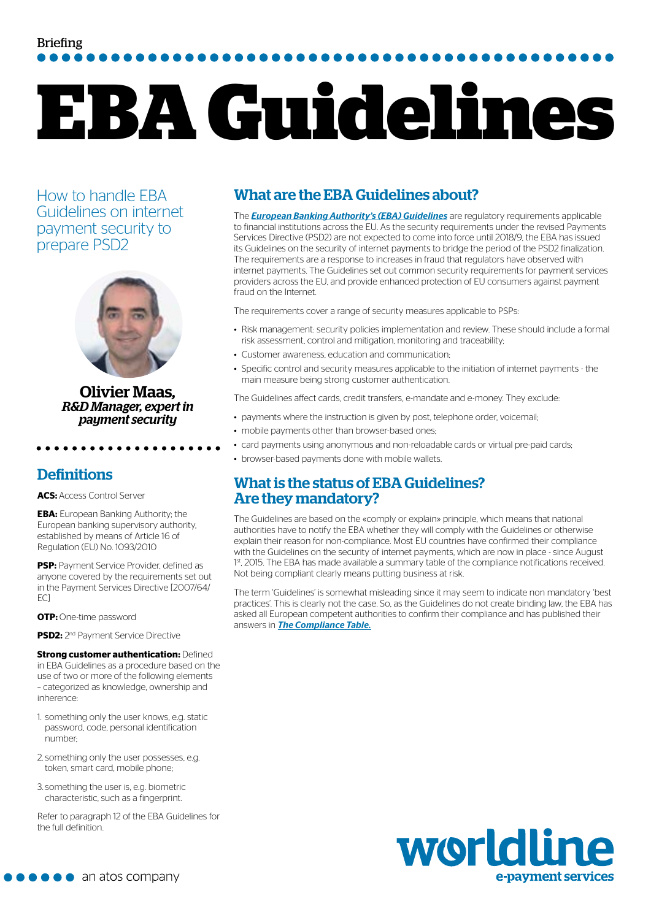## Briefing

# **EBA Guidelines**

How to handle EBA Guidelines on internet payment security to prepare PSD2



Olivier Maas*, R&D Manager, expert in payment security*

#### **Definitions**

**ACS:** Access Control Server

. **. . . . . . . . .** 

**EBA:** European Banking Authority; the European banking supervisory authority, established by means of Article 16 of Regulation (EU) No. 1093/2010

**PSP:** Payment Service Provider, defined as anyone covered by the requirements set out in the Payment Services Directive [2007/64/ EC]

**OTP:** One-time password

**PSD2:** 2nd Payment Service Directive

**Strong customer authentication:** Defined in EBA Guidelines as a procedure based on the use of two or more of the following elements – categorized as knowledge, ownership and inherence:

- 1. something only the user knows, e.g. static password, code, personal identification number;
- 2. something only the user possesses, e.g. token, smart card, mobile phone;
- 3. something the user is, e.g. biometric characteristic, such as a fingerprint.

Refer to paragraph 12 of the EBA Guidelines for the full definition.

#### What are the EBA Guidelines about?

The *[European Banking Authority's \(EBA\) Guidelines](https://www.eba.europa.eu/regulation-and-policy/consumer-protection-and-financial-innovation/guidelines-on-the-security-of-internet-payments)* are regulatory requirements applicable to financial institutions across the EU. As the security requirements under the revised Payments Services Directive (PSD2) are not expected to come into force until 2018/9, the EBA has issued its Guidelines on the security of internet payments to bridge the period of the PSD2 finalization. The requirements are a response to increases in fraud that regulators have observed with internet payments. The Guidelines set out common security requirements for payment services providers across the EU, and provide enhanced protection of EU consumers against payment fraud on the Internet.

The requirements cover a range of security measures applicable to PSPs:

- Risk management: security policies implementation and review. These should include a formal risk assessment, control and mitigation, monitoring and traceability;
- Customer awareness, education and communication;
- Specific control and security measures applicable to the initiation of internet payments the main measure being strong customer authentication.

The Guidelines affect cards, credit transfers, e-mandate and e-money. They exclude:

- payments where the instruction is given by post, telephone order, voicemail;
- mobile payments other than browser-based ones;
- card payments using anonymous and non-reloadable cards or virtual pre-paid cards;
- browser-based payments done with mobile wallets.

#### What is the status of EBA Guidelines? Are they mandatory?

The Guidelines are based on the «comply or explain» principle, which means that national authorities have to notify the EBA whether they will comply with the Guidelines or otherwise explain their reason for non-compliance. Most EU countries have confirmed their compliance with the Guidelines on the security of internet payments, which are now in place - since August 1<sup>st</sup>, 2015. The EBA has made available a summary table of the compliance notifications received. Not being compliant clearly means putting business at risk.

The term 'Guidelines' is somewhat misleading since it may seem to indicate non mandatory 'best practices'. This is clearly not the case. So, as the Guidelines do not create binding law, the EBA has asked all European competent authorities to confirm their compliance and has published their answers in *[The Compliance Table.](https://www.eba.europa.eu/documents/10180/934179/EBA-GL-2014-12+Compliance+Table-GL+security+of+internet+payments.pdf)*